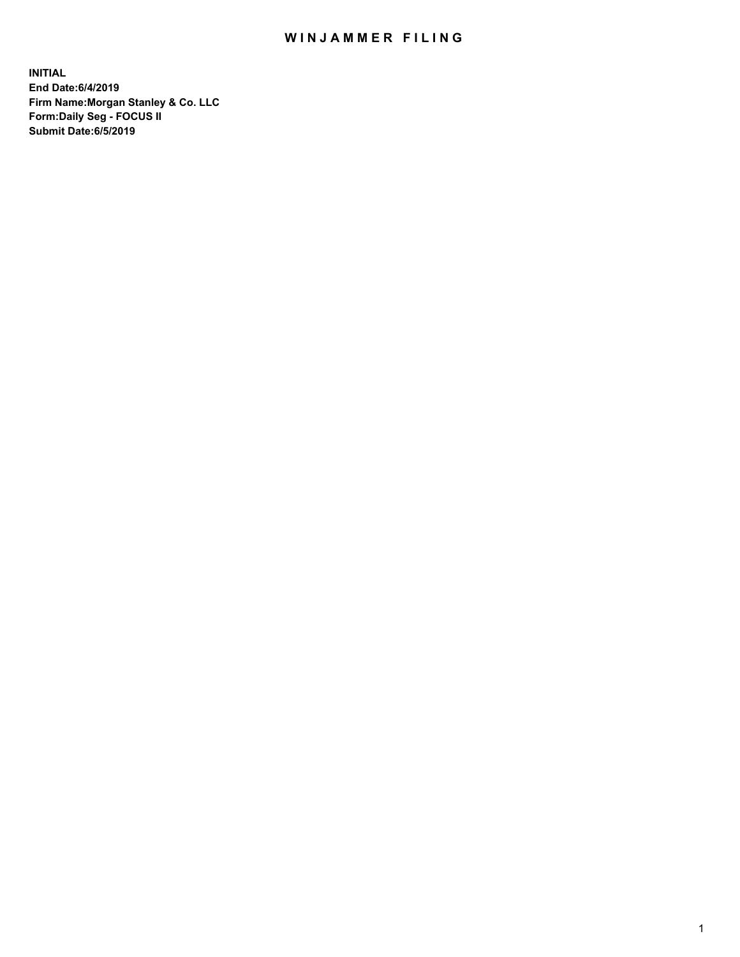## WIN JAMMER FILING

**INITIAL End Date:6/4/2019 Firm Name:Morgan Stanley & Co. LLC Form:Daily Seg - FOCUS II Submit Date:6/5/2019**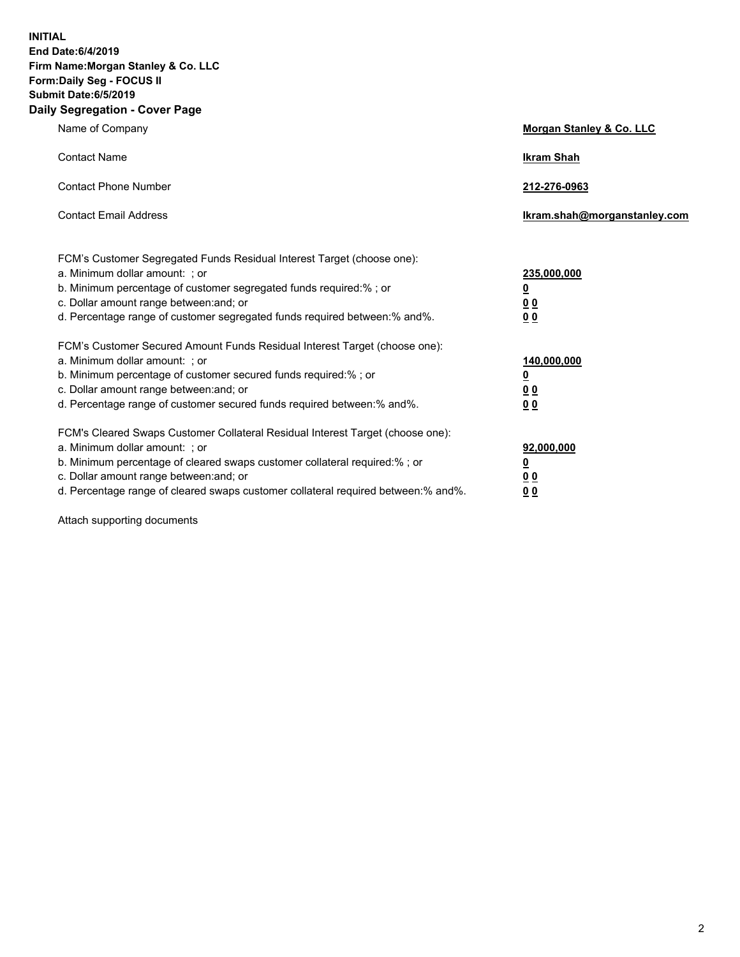**INITIAL End Date:6/4/2019 Firm Name:Morgan Stanley & Co. LLC Form:Daily Seg - FOCUS II Submit Date:6/5/2019 Daily Segregation - Cover Page**

| Name of Company                                                                                                                                                                                                                                                                                                                | Morgan Stanley & Co. LLC                                    |
|--------------------------------------------------------------------------------------------------------------------------------------------------------------------------------------------------------------------------------------------------------------------------------------------------------------------------------|-------------------------------------------------------------|
| <b>Contact Name</b>                                                                                                                                                                                                                                                                                                            | <b>Ikram Shah</b>                                           |
| <b>Contact Phone Number</b>                                                                                                                                                                                                                                                                                                    | 212-276-0963                                                |
| <b>Contact Email Address</b>                                                                                                                                                                                                                                                                                                   | Ikram.shah@morganstanley.com                                |
| FCM's Customer Segregated Funds Residual Interest Target (choose one):<br>a. Minimum dollar amount: ; or<br>b. Minimum percentage of customer segregated funds required:% ; or<br>c. Dollar amount range between: and; or<br>d. Percentage range of customer segregated funds required between:% and%.                         | 235,000,000<br><u>0</u><br>00<br>00                         |
| FCM's Customer Secured Amount Funds Residual Interest Target (choose one):<br>a. Minimum dollar amount: ; or<br>b. Minimum percentage of customer secured funds required:%; or<br>c. Dollar amount range between: and; or<br>d. Percentage range of customer secured funds required between: % and %.                          | 140,000,000<br><u>0</u><br>0 <sub>0</sub><br>0 <sub>0</sub> |
| FCM's Cleared Swaps Customer Collateral Residual Interest Target (choose one):<br>a. Minimum dollar amount: ; or<br>b. Minimum percentage of cleared swaps customer collateral required:% ; or<br>c. Dollar amount range between: and; or<br>d. Percentage range of cleared swaps customer collateral required between:% and%. | 92,000,000<br><u>0</u><br><u>00</u><br>00                   |

Attach supporting documents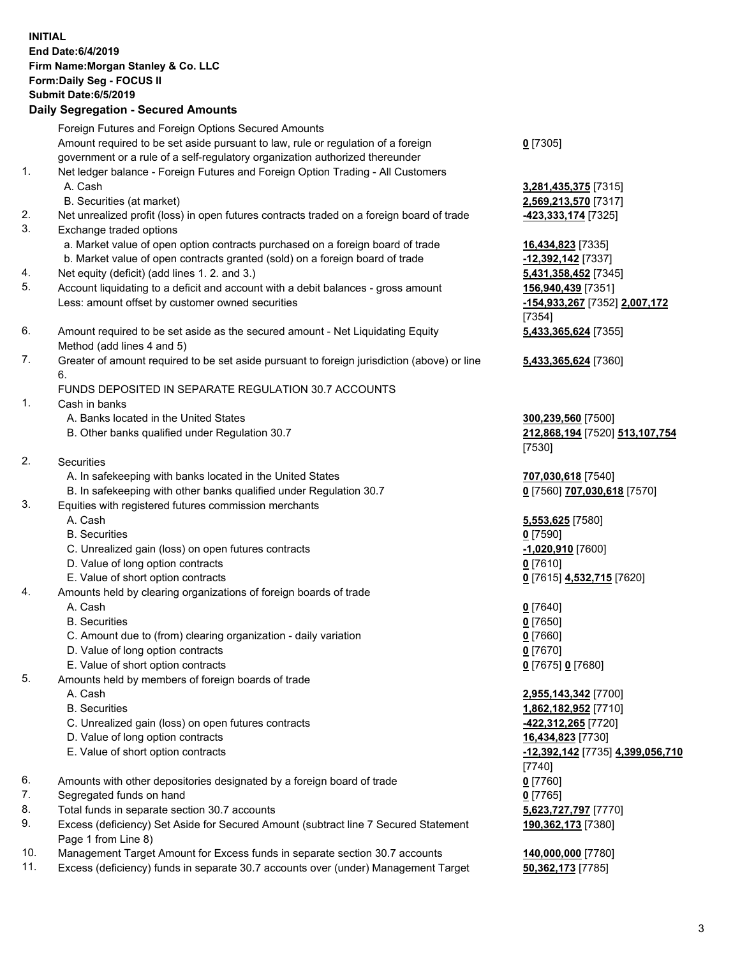| <b>INITIAL</b> | End Date: 6/4/2019<br>Firm Name: Morgan Stanley & Co. LLC<br>Form: Daily Seg - FOCUS II<br><b>Submit Date:6/5/2019</b><br><b>Daily Segregation - Secured Amounts</b> |                                                                |
|----------------|----------------------------------------------------------------------------------------------------------------------------------------------------------------------|----------------------------------------------------------------|
|                | Foreign Futures and Foreign Options Secured Amounts                                                                                                                  |                                                                |
|                | Amount required to be set aside pursuant to law, rule or regulation of a foreign<br>government or a rule of a self-regulatory organization authorized thereunder     | $0$ [7305]                                                     |
| 1.             | Net ledger balance - Foreign Futures and Foreign Option Trading - All Customers<br>A. Cash                                                                           | 3,281,435,375 [7315]                                           |
|                | B. Securities (at market)                                                                                                                                            | 2,569,213,570 [7317]                                           |
| 2.<br>3.       | Net unrealized profit (loss) in open futures contracts traded on a foreign board of trade<br>Exchange traded options                                                 | 423,333,174 [7325]                                             |
|                | a. Market value of open option contracts purchased on a foreign board of trade                                                                                       | 16,434,823 [7335]                                              |
| 4.             | b. Market value of open contracts granted (sold) on a foreign board of trade<br>Net equity (deficit) (add lines 1.2. and 3.)                                         | -12,392,142 [7337]                                             |
| 5.             | Account liquidating to a deficit and account with a debit balances - gross amount                                                                                    | 5,431,358,452 [7345]<br>156,940,439 [7351]                     |
|                | Less: amount offset by customer owned securities                                                                                                                     | -154,933,267 [7352] 2,007,172                                  |
|                |                                                                                                                                                                      | [7354]                                                         |
| 6.             | Amount required to be set aside as the secured amount - Net Liquidating Equity<br>Method (add lines 4 and 5)                                                         | 5,433,365,624 [7355]                                           |
| 7.             | Greater of amount required to be set aside pursuant to foreign jurisdiction (above) or line<br>6.                                                                    | 5,433,365,624 [7360]                                           |
|                | FUNDS DEPOSITED IN SEPARATE REGULATION 30.7 ACCOUNTS                                                                                                                 |                                                                |
| 1.             | Cash in banks                                                                                                                                                        |                                                                |
|                | A. Banks located in the United States<br>B. Other banks qualified under Regulation 30.7                                                                              | 300,239,560 [7500]<br>212,868,194 [7520] 513,107,754<br>[7530] |
| 2.             | Securities                                                                                                                                                           |                                                                |
|                | A. In safekeeping with banks located in the United States                                                                                                            | 707,030,618 [7540]                                             |
|                | B. In safekeeping with other banks qualified under Regulation 30.7                                                                                                   | 0 [7560] 707,030,618 [7570]                                    |
| 3.             | Equities with registered futures commission merchants                                                                                                                |                                                                |
|                | A. Cash<br><b>B.</b> Securities                                                                                                                                      | 5,553,625 [7580]<br>$0$ [7590]                                 |
|                | C. Unrealized gain (loss) on open futures contracts                                                                                                                  | -1,020,910 [7600]                                              |
|                | D. Value of long option contracts                                                                                                                                    | <u>0</u> [7610]                                                |
|                | E. Value of short option contracts                                                                                                                                   | 0 [7615] 4,532,715 [7620]                                      |
| 4.             | Amounts held by clearing organizations of foreign boards of trade                                                                                                    |                                                                |
|                | A. Cash                                                                                                                                                              | $0$ [7640]                                                     |
|                | <b>B.</b> Securities                                                                                                                                                 | $0$ [7650]                                                     |
|                | C. Amount due to (from) clearing organization - daily variation<br>D. Value of long option contracts                                                                 | $0$ [7660]<br>$0$ [7670]                                       |
|                | E. Value of short option contracts                                                                                                                                   | 0 [7675] 0 [7680]                                              |
| 5.             | Amounts held by members of foreign boards of trade                                                                                                                   |                                                                |
|                | A. Cash                                                                                                                                                              | 2,955,143,342 [7700]                                           |
|                | <b>B.</b> Securities                                                                                                                                                 | 1,862,182,952 [7710]                                           |
|                | C. Unrealized gain (loss) on open futures contracts                                                                                                                  | 422,312,265 [7720]                                             |
|                | D. Value of long option contracts                                                                                                                                    | 16,434,823 [7730]                                              |
|                | E. Value of short option contracts                                                                                                                                   | <u>-12,392,142 [7735] 4,399,056,710</u><br>[7740]              |
| 6.             | Amounts with other depositories designated by a foreign board of trade                                                                                               | $0$ [7760]                                                     |
| 7.             | Segregated funds on hand                                                                                                                                             | $0$ [7765]                                                     |
| 8.             | Total funds in separate section 30.7 accounts                                                                                                                        | 5,623,727,797 [7770]                                           |
| 9.             | Excess (deficiency) Set Aside for Secured Amount (subtract line 7 Secured Statement<br>Page 1 from Line 8)                                                           | 190,362,173 [7380]                                             |
| 10.            | Management Target Amount for Excess funds in separate section 30.7 accounts                                                                                          | 140,000,000 [7780]                                             |
| 11.            | Excess (deficiency) funds in separate 30.7 accounts over (under) Management Target                                                                                   | 50,362,173 [7785]                                              |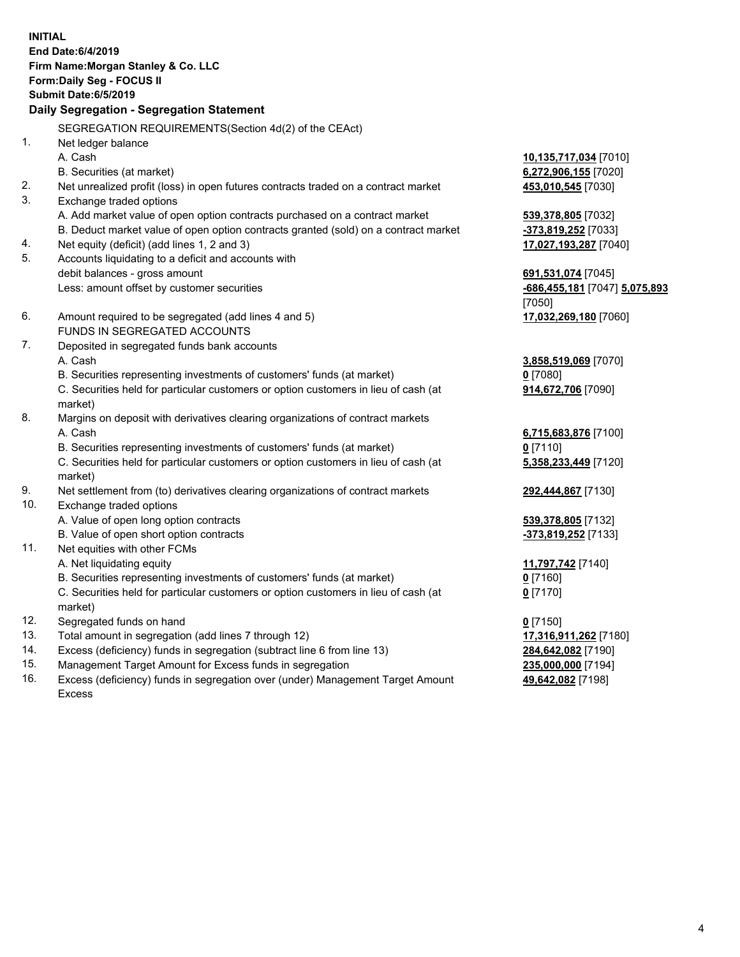|     | <b>INITIAL</b><br>End Date: 6/4/2019<br>Firm Name: Morgan Stanley & Co. LLC<br>Form: Daily Seg - FOCUS II<br><b>Submit Date: 6/5/2019</b><br>Daily Segregation - Segregation Statement |                                              |
|-----|----------------------------------------------------------------------------------------------------------------------------------------------------------------------------------------|----------------------------------------------|
|     | SEGREGATION REQUIREMENTS(Section 4d(2) of the CEAct)                                                                                                                                   |                                              |
| 1.  | Net ledger balance                                                                                                                                                                     |                                              |
|     | A. Cash                                                                                                                                                                                | 10,135,717,034 [7010]                        |
|     | B. Securities (at market)                                                                                                                                                              | 6,272,906,155 [7020]                         |
| 2.  | Net unrealized profit (loss) in open futures contracts traded on a contract market                                                                                                     | 453,010,545 [7030]                           |
| 3.  | Exchange traded options                                                                                                                                                                |                                              |
|     | A. Add market value of open option contracts purchased on a contract market                                                                                                            | 539,378,805 [7032]                           |
| 4.  | B. Deduct market value of open option contracts granted (sold) on a contract market<br>Net equity (deficit) (add lines 1, 2 and 3)                                                     | -373,819,252 [7033]<br>17,027,193,287 [7040] |
| 5.  | Accounts liquidating to a deficit and accounts with                                                                                                                                    |                                              |
|     | debit balances - gross amount                                                                                                                                                          | 691,531,074 [7045]                           |
|     | Less: amount offset by customer securities                                                                                                                                             | -686,455,181 [7047] 5,075,893                |
|     |                                                                                                                                                                                        | [7050]                                       |
| 6.  | Amount required to be segregated (add lines 4 and 5)                                                                                                                                   | 17,032,269,180 [7060]                        |
|     | FUNDS IN SEGREGATED ACCOUNTS                                                                                                                                                           |                                              |
| 7.  | Deposited in segregated funds bank accounts                                                                                                                                            |                                              |
|     | A. Cash                                                                                                                                                                                | 3,858,519,069 [7070]                         |
|     | B. Securities representing investments of customers' funds (at market)                                                                                                                 | <u>0</u> [7080]                              |
|     | C. Securities held for particular customers or option customers in lieu of cash (at<br>market)                                                                                         | 914,672,706 [7090]                           |
| 8.  | Margins on deposit with derivatives clearing organizations of contract markets                                                                                                         |                                              |
|     | A. Cash                                                                                                                                                                                | 6,715,683,876 [7100]                         |
|     | B. Securities representing investments of customers' funds (at market)                                                                                                                 | $0$ [7110]                                   |
|     | C. Securities held for particular customers or option customers in lieu of cash (at<br>market)                                                                                         | 5,358,233,449 [7120]                         |
| 9.  | Net settlement from (to) derivatives clearing organizations of contract markets                                                                                                        | 292,444,867 [7130]                           |
| 10. | Exchange traded options                                                                                                                                                                |                                              |
|     | A. Value of open long option contracts                                                                                                                                                 | 539,378,805 [7132]                           |
|     | B. Value of open short option contracts                                                                                                                                                | -373,819,252 [7133]                          |
| 11. | Net equities with other FCMs                                                                                                                                                           |                                              |
|     | A. Net liquidating equity                                                                                                                                                              | 11,797,742 <sup>[7140]</sup>                 |
|     | B. Securities representing investments of customers' funds (at market)                                                                                                                 | $0$ [7160]                                   |
|     | C. Securities held for particular customers or option customers in lieu of cash (at<br>market)                                                                                         | $0$ [7170]                                   |
| 12. | Segregated funds on hand                                                                                                                                                               | $0$ [7150]                                   |
| 13. | Total amount in segregation (add lines 7 through 12)                                                                                                                                   | 17,316,911,262 [7180]                        |
| 14. | Excess (deficiency) funds in segregation (subtract line 6 from line 13)                                                                                                                | 284,642,082 [7190]                           |
| 15. | Management Target Amount for Excess funds in segregation                                                                                                                               | 235,000,000 [7194]                           |
| 16. | Excess (deficiency) funds in segregation over (under) Management Target Amount                                                                                                         | 49,642,082 [7198]                            |

- 15. Management Target Amount for Excess funds in segregation<br>16. Excess (deficiency) funds in segregation over (under) Manage
- Excess (deficiency) funds in segregation over (under) Management Target Amount Excess